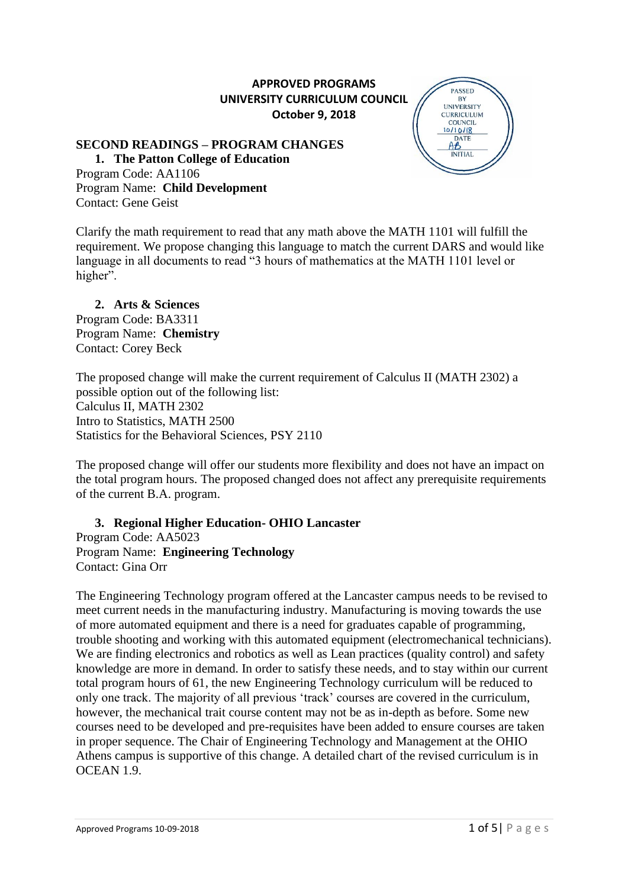# **APPROVED PROGRAMS UNIVERSITY CURRICULUM COUNCIL October 9, 2018**

## **SECOND READINGS – PROGRAM CHANGES**

**1. The Patton College of Education** Program Code: AA1106 Program Name: **Child Development** Contact: Gene Geist



Clarify the math requirement to read that any math above the MATH 1101 will fulfill the requirement. We propose changing this language to match the current DARS and would like language in all documents to read "3 hours of mathematics at the MATH 1101 level or higher".

#### **2. Arts & Sciences**  Program Code: BA3311 Program Name: **Chemistry**

Contact: Corey Beck

The proposed change will make the current requirement of Calculus II (MATH 2302) a possible option out of the following list: Calculus II, MATH 2302 Intro to Statistics, MATH 2500 Statistics for the Behavioral Sciences, PSY 2110

The proposed change will offer our students more flexibility and does not have an impact on the total program hours. The proposed changed does not affect any prerequisite requirements of the current B.A. program.

#### **3. Regional Higher Education- OHIO Lancaster** Program Code: AA5023

Program Name: **Engineering Technology** Contact: Gina Orr

The Engineering Technology program offered at the Lancaster campus needs to be revised to meet current needs in the manufacturing industry. Manufacturing is moving towards the use of more automated equipment and there is a need for graduates capable of programming, trouble shooting and working with this automated equipment (electromechanical technicians). We are finding electronics and robotics as well as Lean practices (quality control) and safety knowledge are more in demand. In order to satisfy these needs, and to stay within our current total program hours of 61, the new Engineering Technology curriculum will be reduced to only one track. The majority of all previous 'track' courses are covered in the curriculum, however, the mechanical trait course content may not be as in-depth as before. Some new courses need to be developed and pre-requisites have been added to ensure courses are taken in proper sequence. The Chair of Engineering Technology and Management at the OHIO Athens campus is supportive of this change. A detailed chart of the revised curriculum is in OCEAN 1.9.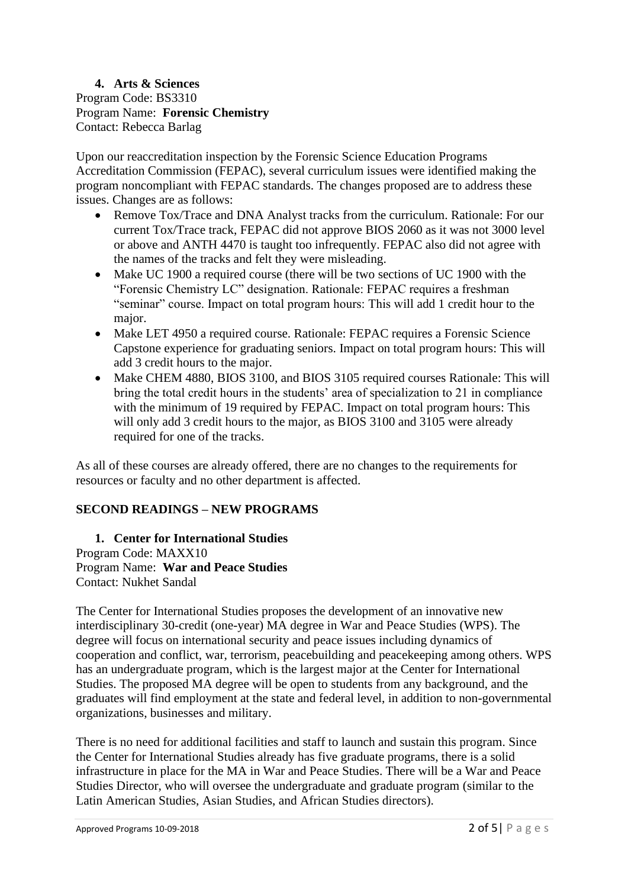**4. Arts & Sciences**  Program Code: BS3310 Program Name: **Forensic Chemistry** Contact: Rebecca Barlag

Upon our reaccreditation inspection by the Forensic Science Education Programs Accreditation Commission (FEPAC), several curriculum issues were identified making the program noncompliant with FEPAC standards. The changes proposed are to address these issues. Changes are as follows:

- Remove Tox/Trace and DNA Analyst tracks from the curriculum. Rationale: For our current Tox/Trace track, FEPAC did not approve BIOS 2060 as it was not 3000 level or above and ANTH 4470 is taught too infrequently. FEPAC also did not agree with the names of the tracks and felt they were misleading.
- Make UC 1900 a required course (there will be two sections of UC 1900 with the "Forensic Chemistry LC" designation. Rationale: FEPAC requires a freshman "seminar" course. Impact on total program hours: This will add 1 credit hour to the major.
- Make LET 4950 a required course. Rationale: FEPAC requires a Forensic Science Capstone experience for graduating seniors. Impact on total program hours: This will add 3 credit hours to the major.
- Make CHEM 4880, BIOS 3100, and BIOS 3105 required courses Rationale: This will bring the total credit hours in the students' area of specialization to 21 in compliance with the minimum of 19 required by FEPAC. Impact on total program hours: This will only add 3 credit hours to the major, as BIOS 3100 and 3105 were already required for one of the tracks.

As all of these courses are already offered, there are no changes to the requirements for resources or faculty and no other department is affected.

# **SECOND READINGS – NEW PROGRAMS**

**1. Center for International Studies** Program Code: MAXX10 Program Name: **War and Peace Studies** Contact: Nukhet Sandal

The Center for International Studies proposes the development of an innovative new interdisciplinary 30-credit (one-year) MA degree in War and Peace Studies (WPS). The degree will focus on international security and peace issues including dynamics of cooperation and conflict, war, terrorism, peacebuilding and peacekeeping among others. WPS has an undergraduate program, which is the largest major at the Center for International Studies. The proposed MA degree will be open to students from any background, and the graduates will find employment at the state and federal level, in addition to non-governmental organizations, businesses and military.

There is no need for additional facilities and staff to launch and sustain this program. Since the Center for International Studies already has five graduate programs, there is a solid infrastructure in place for the MA in War and Peace Studies. There will be a War and Peace Studies Director, who will oversee the undergraduate and graduate program (similar to the Latin American Studies, Asian Studies, and African Studies directors).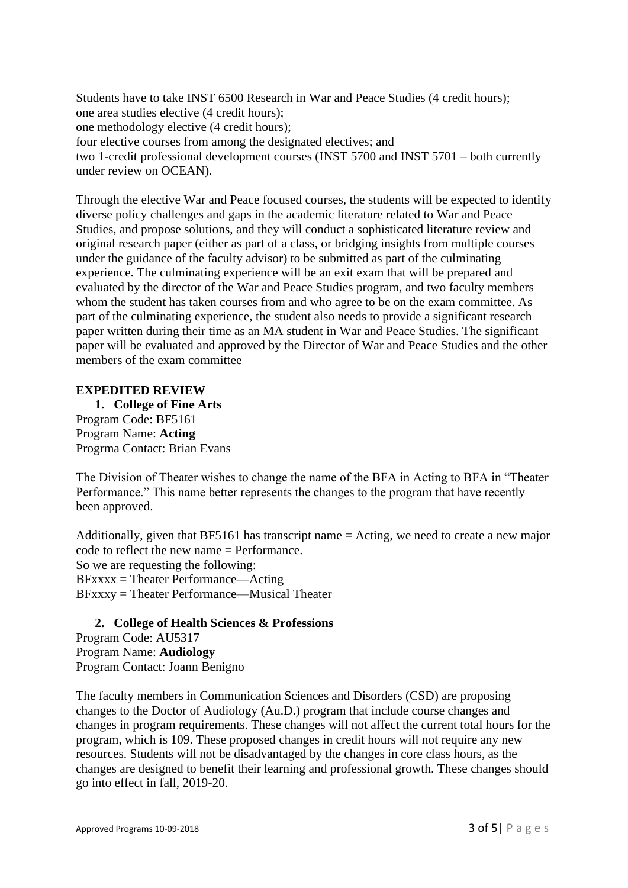Students have to take INST 6500 Research in War and Peace Studies (4 credit hours); one area studies elective (4 credit hours); one methodology elective (4 credit hours); four elective courses from among the designated electives; and two 1-credit professional development courses (INST 5700 and INST 5701 – both currently under review on OCEAN).

Through the elective War and Peace focused courses, the students will be expected to identify diverse policy challenges and gaps in the academic literature related to War and Peace Studies, and propose solutions, and they will conduct a sophisticated literature review and original research paper (either as part of a class, or bridging insights from multiple courses under the guidance of the faculty advisor) to be submitted as part of the culminating experience. The culminating experience will be an exit exam that will be prepared and evaluated by the director of the War and Peace Studies program, and two faculty members whom the student has taken courses from and who agree to be on the exam committee. As part of the culminating experience, the student also needs to provide a significant research paper written during their time as an MA student in War and Peace Studies. The significant paper will be evaluated and approved by the Director of War and Peace Studies and the other members of the exam committee

#### **EXPEDITED REVIEW**

**1. College of Fine Arts** Program Code: BF5161 Program Name: **Acting** Progrma Contact: Brian Evans

The Division of Theater wishes to change the name of the BFA in Acting to BFA in "Theater Performance." This name better represents the changes to the program that have recently been approved.

Additionally, given that BF5161 has transcript name = Acting, we need to create a new major code to reflect the new name = Performance. So we are requesting the following: BFxxxx = Theater Performance—Acting BFxxxy = Theater Performance—Musical Theater

#### **2. College of Health Sciences & Professions**

Program Code: AU5317 Program Name: **Audiology** Program Contact: Joann Benigno

The faculty members in Communication Sciences and Disorders (CSD) are proposing changes to the Doctor of Audiology (Au.D.) program that include course changes and changes in program requirements. These changes will not affect the current total hours for the program, which is 109. These proposed changes in credit hours will not require any new resources. Students will not be disadvantaged by the changes in core class hours, as the changes are designed to benefit their learning and professional growth. These changes should go into effect in fall, 2019-20.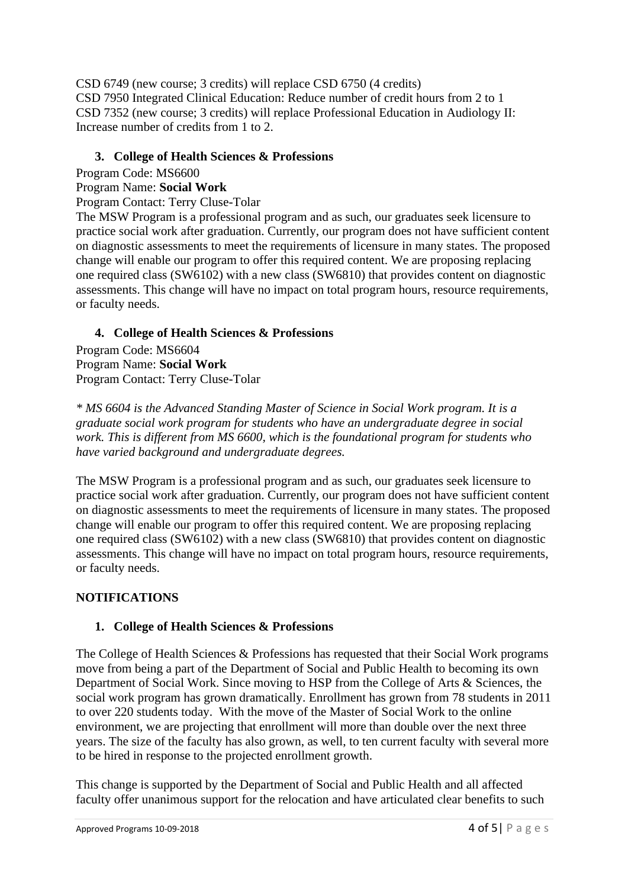CSD 6749 (new course; 3 credits) will replace CSD 6750 (4 credits) CSD 7950 Integrated Clinical Education: Reduce number of credit hours from 2 to 1 CSD 7352 (new course; 3 credits) will replace Professional Education in Audiology II: Increase number of credits from 1 to 2.

## **3. College of Health Sciences & Professions**

Program Code: MS6600

## Program Name: **Social Work**

Program Contact: Terry Cluse-Tolar

The MSW Program is a professional program and as such, our graduates seek licensure to practice social work after graduation. Currently, our program does not have sufficient content on diagnostic assessments to meet the requirements of licensure in many states. The proposed change will enable our program to offer this required content. We are proposing replacing one required class (SW6102) with a new class (SW6810) that provides content on diagnostic assessments. This change will have no impact on total program hours, resource requirements, or faculty needs.

# **4. College of Health Sciences & Professions**

Program Code: MS6604 Program Name: **Social Work** Program Contact: Terry Cluse-Tolar

*\* MS 6604 is the Advanced Standing Master of Science in Social Work program. It is a graduate social work program for students who have an undergraduate degree in social work. This is different from MS 6600, which is the foundational program for students who have varied background and undergraduate degrees.*

The MSW Program is a professional program and as such, our graduates seek licensure to practice social work after graduation. Currently, our program does not have sufficient content on diagnostic assessments to meet the requirements of licensure in many states. The proposed change will enable our program to offer this required content. We are proposing replacing one required class (SW6102) with a new class (SW6810) that provides content on diagnostic assessments. This change will have no impact on total program hours, resource requirements, or faculty needs.

# **NOTIFICATIONS**

# **1. College of Health Sciences & Professions**

The College of Health Sciences & Professions has requested that their Social Work programs move from being a part of the Department of Social and Public Health to becoming its own Department of Social Work. Since moving to HSP from the College of Arts & Sciences, the social work program has grown dramatically. Enrollment has grown from 78 students in 2011 to over 220 students today. With the move of the Master of Social Work to the online environment, we are projecting that enrollment will more than double over the next three years. The size of the faculty has also grown, as well, to ten current faculty with several more to be hired in response to the projected enrollment growth.

This change is supported by the Department of Social and Public Health and all affected faculty offer unanimous support for the relocation and have articulated clear benefits to such